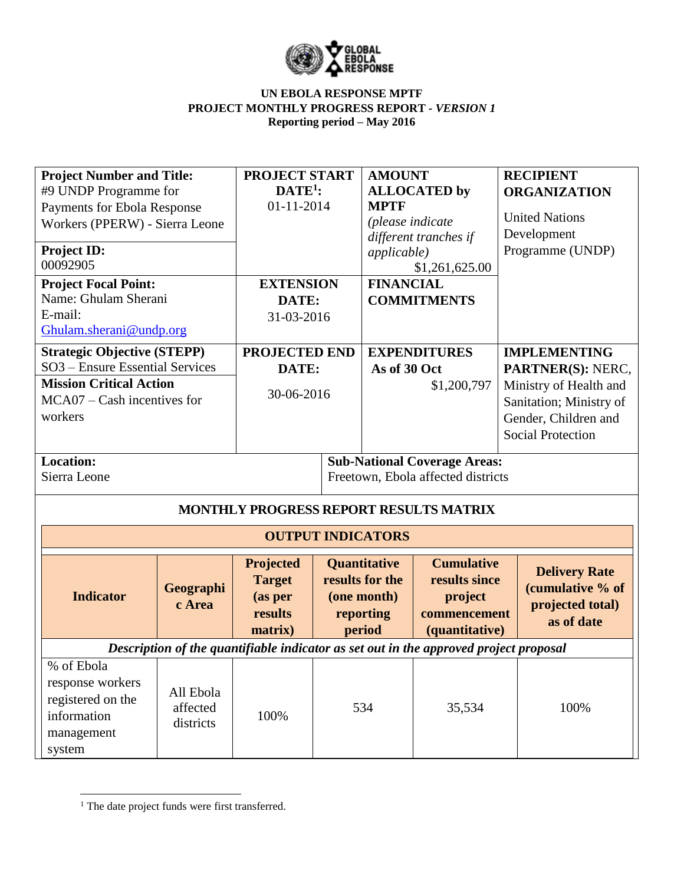

| <b>Project Number and Title:</b><br>#9 UNDP Programme for<br>Payments for Ebola Response<br>Workers (PPERW) - Sierra Leone<br>Project ID: |                                    | <b>PROJECT START</b><br>$DATE1$ :<br>01-11-2014             | <b>AMOUNT</b><br><b>MPTF</b><br>(please indicate<br><i>applicable</i> )      | <b>ALLOCATED by</b><br>different tranches if                                          | <b>RECIPIENT</b><br><b>ORGANIZATION</b><br><b>United Nations</b><br>Development<br>Programme (UNDP)                        |  |
|-------------------------------------------------------------------------------------------------------------------------------------------|------------------------------------|-------------------------------------------------------------|------------------------------------------------------------------------------|---------------------------------------------------------------------------------------|----------------------------------------------------------------------------------------------------------------------------|--|
| 00092905                                                                                                                                  |                                    |                                                             |                                                                              | \$1,261,625.00                                                                        |                                                                                                                            |  |
| <b>Project Focal Point:</b><br>Name: Ghulam Sherani<br>E-mail:<br>Ghulam.sherani@undp.org                                                 |                                    | <b>EXTENSION</b><br>DATE:<br>31-03-2016                     | <b>FINANCIAL</b>                                                             | <b>COMMITMENTS</b>                                                                    |                                                                                                                            |  |
| <b>Strategic Objective (STEPP)</b>                                                                                                        |                                    | <b>PROJECTED END</b>                                        |                                                                              | <b>EXPENDITURES</b>                                                                   | <b>IMPLEMENTING</b>                                                                                                        |  |
| SO3 - Ensure Essential Services<br><b>Mission Critical Action</b><br>$MCA07 - Cash$ incentives for<br>workers                             |                                    | DATE:<br>30-06-2016                                         | As of 30 Oct                                                                 | \$1,200,797                                                                           | PARTNER(S): NERC,<br>Ministry of Health and<br>Sanitation; Ministry of<br>Gender, Children and<br><b>Social Protection</b> |  |
| <b>Location:</b><br>Sierra Leone                                                                                                          |                                    |                                                             |                                                                              | <b>Sub-National Coverage Areas:</b><br>Freetown, Ebola affected districts             |                                                                                                                            |  |
|                                                                                                                                           |                                    |                                                             |                                                                              | MONTHLY PROGRESS REPORT RESULTS MATRIX                                                |                                                                                                                            |  |
|                                                                                                                                           |                                    | <b>OUTPUT INDICATORS</b>                                    |                                                                              |                                                                                       |                                                                                                                            |  |
| <b>Indicator</b>                                                                                                                          | Geographi<br>c Area                | Projected<br><b>Target</b><br>(as per<br>results<br>matrix) | <b>Quantitative</b><br>results for the<br>(one month)<br>reporting<br>period | <b>Cumulative</b><br>results since<br>project<br>commencement<br>(quantitative)       | <b>Delivery Rate</b><br>(cumulative % of<br>projected total)<br>as of date                                                 |  |
|                                                                                                                                           |                                    |                                                             |                                                                              | Description of the quantifiable indicator as set out in the approved project proposal |                                                                                                                            |  |
| % of Ebola<br>response workers<br>registered on the<br>information<br>management<br>system                                                | All Ebola<br>affected<br>districts | 100%                                                        | 534                                                                          | 35,534                                                                                | 100%                                                                                                                       |  |

<sup>&</sup>lt;sup>1</sup> The date project funds were first transferred.

 $\overline{a}$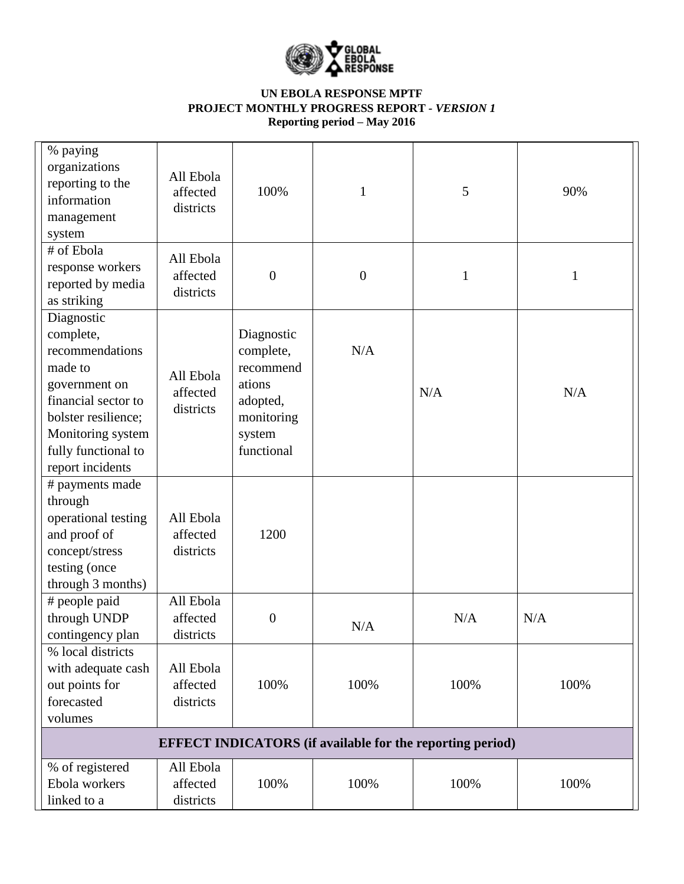

| % paying<br>organizations<br>reporting to the<br>information<br>management<br>system                                                                                                 | All Ebola<br>affected<br>districts | 100%                                                                                             | $\mathbf{1}$     | 5                                                                | 90%  |
|--------------------------------------------------------------------------------------------------------------------------------------------------------------------------------------|------------------------------------|--------------------------------------------------------------------------------------------------|------------------|------------------------------------------------------------------|------|
| # of Ebola<br>response workers<br>reported by media<br>as striking                                                                                                                   | All Ebola<br>affected<br>districts | $\boldsymbol{0}$                                                                                 | $\boldsymbol{0}$ | $\mathbf{1}$                                                     | 1    |
| Diagnostic<br>complete,<br>recommendations<br>made to<br>government on<br>financial sector to<br>bolster resilience;<br>Monitoring system<br>fully functional to<br>report incidents | All Ebola<br>affected<br>districts | Diagnostic<br>complete,<br>recommend<br>ations<br>adopted,<br>monitoring<br>system<br>functional | N/A              | N/A                                                              | N/A  |
| # payments made<br>through<br>operational testing<br>and proof of<br>concept/stress<br>testing (once<br>through 3 months)                                                            | All Ebola<br>affected<br>districts | 1200                                                                                             |                  |                                                                  |      |
| # people paid<br>through UNDP<br>contingency plan                                                                                                                                    | All Ebola<br>affected<br>districts | $\boldsymbol{0}$                                                                                 | N/A              | N/A                                                              | N/A  |
| % local districts<br>with adequate cash<br>out points for<br>forecasted<br>volumes                                                                                                   | All Ebola<br>affected<br>districts | 100%                                                                                             | 100%             | 100%                                                             | 100% |
|                                                                                                                                                                                      |                                    |                                                                                                  |                  | <b>EFFECT INDICATORS</b> (if available for the reporting period) |      |
| % of registered<br>Ebola workers<br>linked to a                                                                                                                                      | All Ebola<br>affected<br>districts | 100%                                                                                             | 100%             | 100%                                                             | 100% |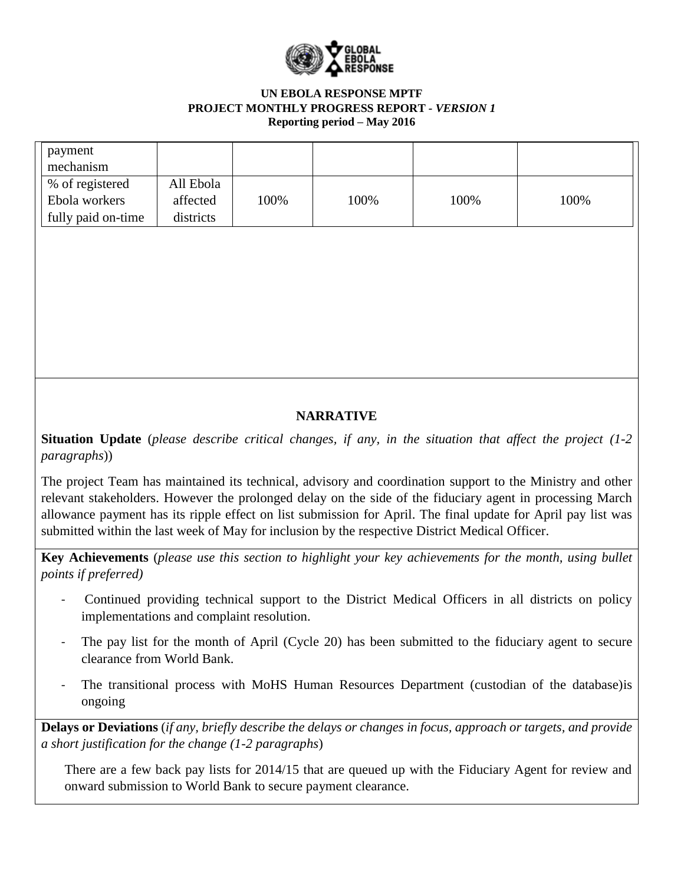

| payment<br>mechanism |           |      |      |      |      |
|----------------------|-----------|------|------|------|------|
| % of registered      | All Ebola |      |      |      |      |
| Ebola workers        | affected  | 100% | 100% | 100% | 100% |
| fully paid on-time   | districts |      |      |      |      |

# **NARRATIVE**

**Situation Update** (*please describe critical changes, if any, in the situation that affect the project (1-2 paragraphs*))

The project Team has maintained its technical, advisory and coordination support to the Ministry and other relevant stakeholders. However the prolonged delay on the side of the fiduciary agent in processing March allowance payment has its ripple effect on list submission for April. The final update for April pay list was submitted within the last week of May for inclusion by the respective District Medical Officer.

**Key Achievements** (*please use this section to highlight your key achievements for the month, using bullet points if preferred)*

- Continued providing technical support to the District Medical Officers in all districts on policy implementations and complaint resolution.
- The pay list for the month of April (Cycle 20) has been submitted to the fiduciary agent to secure clearance from World Bank.
- The transitional process with MoHS Human Resources Department (custodian of the database) is ongoing

**Delays or Deviations** (*if any, briefly describe the delays or changes in focus, approach or targets, and provide a short justification for the change (1-2 paragraphs*)

There are a few back pay lists for 2014/15 that are queued up with the Fiduciary Agent for review and onward submission to World Bank to secure payment clearance.